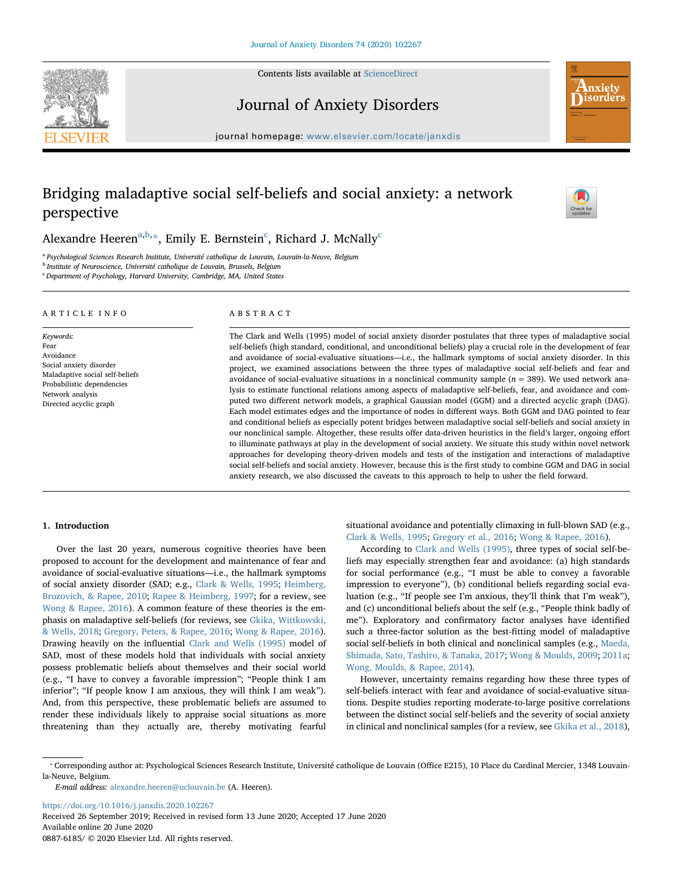Contents lists available at [ScienceDirect](http://www.sciencedirect.com/science/journal/08876185)





# Journal of Anxiety Disorders

journal homepage: [www.elsevier.com/locate/janxdis](https://www.elsevier.com/locate/janxdis)

# Bridging maladaptive social self-beliefs and social anxiety: a network perspective



Alex[a](#page-0-0)ndre Heeren $^{\mathrm{a,b,*}},$  $^{\mathrm{a,b,*}},$  $^{\mathrm{a,b,*}},$  $^{\mathrm{a,b,*}},$  Emily E. Bernstein $^{\mathrm{c}}$  $^{\mathrm{c}}$  $^{\mathrm{c}}$ , Richard J. McNally $^{\mathrm{c}}$ 

<span id="page-0-0"></span><sup>a</sup> Psychological Sciences Research Institute, Université catholique de Louvain, Louvain-la-Neuve, Belgium

<span id="page-0-1"></span>**b** Institute of Neuroscience, Université catholique de Louvain, Brussels, Belgium

<span id="page-0-3"></span><sup>c</sup> Department of Psychology, Harvard University, Cambridge, MA, United States

## ARTICLE INFO

Keywords: Fear Avoidance Social anxiety disorder Maladaptive social self-beliefs Probabilistic dependencies Network analysis Directed acyclic graph

## ABSTRACT

The Clark and Wells (1995) model of social anxiety disorder postulates that three types of maladaptive social self-beliefs (high standard, conditional, and unconditional beliefs) play a crucial role in the development of fear and avoidance of social-evaluative situations—i.e., the hallmark symptoms of social anxiety disorder. In this project, we examined associations between the three types of maladaptive social self-beliefs and fear and avoidance of social-evaluative situations in a nonclinical community sample ( $n = 389$ ). We used network analysis to estimate functional relations among aspects of maladaptive self-beliefs, fear, and avoidance and computed two different network models, a graphical Gaussian model (GGM) and a directed acyclic graph (DAG). Each model estimates edges and the importance of nodes in different ways. Both GGM and DAG pointed to fear and conditional beliefs as especially potent bridges between maladaptive social self-beliefs and social anxiety in our nonclinical sample. Altogether, these results offer data-driven heuristics in the field's larger, ongoing effort to illuminate pathways at play in the development of social anxiety. We situate this study within novel network approaches for developing theory-driven models and tests of the instigation and interactions of maladaptive social self-beliefs and social anxiety. However, because this is the first study to combine GGM and DAG in social anxiety research, we also discussed the caveats to this approach to help to usher the field forward.

## 1. Introduction

Over the last 20 years, numerous cognitive theories have been proposed to account for the development and maintenance of fear and avoidance of social-evaluative situations—i.e., the hallmark symptoms of social anxiety disorder (SAD; e.g., [Clark & Wells, 1995](#page-7-0); [Heimberg,](#page-7-1) [Brozovich, & Rapee, 2010](#page-7-1); [Rapee & Heimberg, 1997;](#page-8-0) for a review, see [Wong & Rapee, 2016\)](#page-8-1). A common feature of these theories is the emphasis on maladaptive self-beliefs (for reviews, see [Gkika, Wittkowski,](#page-7-2) [& Wells, 2018;](#page-7-2) [Gregory, Peters, & Rapee, 2016;](#page-7-3) [Wong & Rapee, 2016](#page-8-1)). Drawing heavily on the influential [Clark and Wells \(1995\)](#page-7-0) model of SAD, most of these models hold that individuals with social anxiety possess problematic beliefs about themselves and their social world (e.g., "I have to convey a favorable impression"; "People think I am inferior"; "If people know I am anxious, they will think I am weak"). And, from this perspective, these problematic beliefs are assumed to render these individuals likely to appraise social situations as more threatening than they actually are, thereby motivating fearful

situational avoidance and potentially climaxing in full-blown SAD (e.g., [Clark & Wells, 1995](#page-7-0); [Gregory et al., 2016](#page-7-3); [Wong & Rapee, 2016\)](#page-8-1).

According to [Clark and Wells \(1995\),](#page-7-0) three types of social self-beliefs may especially strengthen fear and avoidance: (a) high standards for social performance (e.g., "I must be able to convey a favorable impression to everyone"), (b) conditional beliefs regarding social evaluation (e.g., "If people see I'm anxious, they'll think that I'm weak"), and (c) unconditional beliefs about the self (e.g., "People think badly of me"). Exploratory and confirmatory factor analyses have identified such a three-factor solution as the best-fitting model of maladaptive social self-beliefs in both clinical and nonclinical samples (e.g., [Maeda,](#page-7-4) [Shimada, Sato, Tashiro, & Tanaka, 2017;](#page-7-4) [Wong & Moulds, 2009](#page-8-2); [2011a](#page-8-3); [Wong, Moulds, & Rapee, 2014](#page-8-4)).

However, uncertainty remains regarding how these three types of self-beliefs interact with fear and avoidance of social-evaluative situations. Despite studies reporting moderate-to-large positive correlations between the distinct social self-beliefs and the severity of social anxiety in clinical and nonclinical samples (for a review, see [Gkika et al., 2018](#page-7-2)),

E-mail address: [alexandre.heeren@uclouvain.be](mailto:alexandre.heeren@uclouvain.be) (A. Heeren).

<https://doi.org/10.1016/j.janxdis.2020.102267>

Received 26 September 2019; Received in revised form 13 June 2020; Accepted 17 June 2020 Available online 20 June 2020

0887-6185/ © 2020 Elsevier Ltd. All rights reserved.

<span id="page-0-2"></span><sup>⁎</sup> Corresponding author at: Psychological Sciences Research Institute, Université catholique de Louvain (Office E215), 10 Place du Cardinal Mercier, 1348 Louvainla-Neuve, Belgium.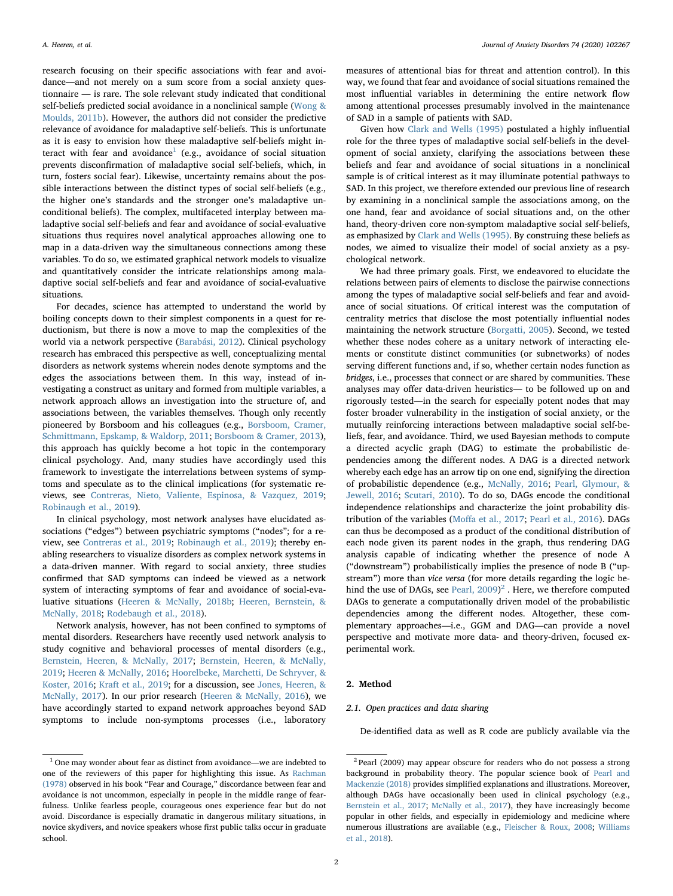research focusing on their specific associations with fear and avoidance—and not merely on a sum score from a social anxiety questionnaire — is rare. The sole relevant study indicated that conditional self-beliefs predicted social avoidance in a nonclinical sample [\(Wong &](#page-8-5) [Moulds, 2011b\)](#page-8-5). However, the authors did not consider the predictive relevance of avoidance for maladaptive self-beliefs. This is unfortunate as it is easy to envision how these maladaptive self-beliefs might in-teract with fear and avoidance<sup>[1](#page-1-0)</sup> (e.g., avoidance of social situation prevents disconfirmation of maladaptive social self-beliefs, which, in turn, fosters social fear). Likewise, uncertainty remains about the possible interactions between the distinct types of social self-beliefs (e.g., the higher one's standards and the stronger one's maladaptive unconditional beliefs). The complex, multifaceted interplay between maladaptive social self-beliefs and fear and avoidance of social-evaluative situations thus requires novel analytical approaches allowing one to map in a data-driven way the simultaneous connections among these variables. To do so, we estimated graphical network models to visualize and quantitatively consider the intricate relationships among maladaptive social self-beliefs and fear and avoidance of social-evaluative situations.

For decades, science has attempted to understand the world by boiling concepts down to their simplest components in a quest for reductionism, but there is now a move to map the complexities of the world via a network perspective ([Barabási, 2012\)](#page-6-0). Clinical psychology research has embraced this perspective as well, conceptualizing mental disorders as network systems wherein nodes denote symptoms and the edges the associations between them. In this way, instead of investigating a construct as unitary and formed from multiple variables, a network approach allows an investigation into the structure of, and associations between, the variables themselves. Though only recently pioneered by Borsboom and his colleagues (e.g., [Borsboom, Cramer,](#page-7-5) [Schmittmann, Epskamp, & Waldorp, 2011](#page-7-5); [Borsboom & Cramer, 2013](#page-7-6)), this approach has quickly become a hot topic in the contemporary clinical psychology. And, many studies have accordingly used this framework to investigate the interrelations between systems of symptoms and speculate as to the clinical implications (for systematic reviews, see [Contreras, Nieto, Valiente, Espinosa, & Vazquez, 2019](#page-7-7); [Robinaugh et al., 2019](#page-8-6)).

In clinical psychology, most network analyses have elucidated associations ("edges") between psychiatric symptoms ("nodes"; for a review, see [Contreras et al., 2019;](#page-7-7) [Robinaugh et al., 2019\)](#page-8-6); thereby enabling researchers to visualize disorders as complex network systems in a data-driven manner. With regard to social anxiety, three studies confirmed that SAD symptoms can indeed be viewed as a network system of interacting symptoms of fear and avoidance of social-evaluative situations [\(Heeren & McNally, 2018b](#page-7-8); [Heeren, Bernstein, &](#page-7-9) [McNally, 2018;](#page-7-9) [Rodebaugh et al., 2018\)](#page-8-7).

Network analysis, however, has not been confined to symptoms of mental disorders. Researchers have recently used network analysis to study cognitive and behavioral processes of mental disorders (e.g., [Bernstein, Heeren, & McNally, 2017;](#page-6-1) [Bernstein, Heeren, & McNally,](#page-6-2) [2019;](#page-6-2) [Heeren & McNally, 2016;](#page-7-10) [Hoorelbeke, Marchetti, De Schryver, &](#page-7-11) [Koster, 2016;](#page-7-11) [Kraft et al., 2019;](#page-7-12) for a discussion, see [Jones, Heeren, &](#page-7-13) [McNally, 2017](#page-7-13)). In our prior research [\(Heeren & McNally, 2016](#page-7-10)), we have accordingly started to expand network approaches beyond SAD symptoms to include non-symptoms processes (i.e., laboratory

measures of attentional bias for threat and attention control). In this way, we found that fear and avoidance of social situations remained the most influential variables in determining the entire network flow among attentional processes presumably involved in the maintenance of SAD in a sample of patients with SAD.

Given how [Clark and Wells \(1995\)](#page-7-0) postulated a highly influential role for the three types of maladaptive social self-beliefs in the development of social anxiety, clarifying the associations between these beliefs and fear and avoidance of social situations in a nonclinical sample is of critical interest as it may illuminate potential pathways to SAD. In this project, we therefore extended our previous line of research by examining in a nonclinical sample the associations among, on the one hand, fear and avoidance of social situations and, on the other hand, theory-driven core non-symptom maladaptive social self-beliefs, as emphasized by [Clark and Wells \(1995\).](#page-7-0) By construing these beliefs as nodes, we aimed to visualize their model of social anxiety as a psychological network.

We had three primary goals. First, we endeavored to elucidate the relations between pairs of elements to disclose the pairwise connections among the types of maladaptive social self-beliefs and fear and avoidance of social situations. Of critical interest was the computation of centrality metrics that disclose the most potentially influential nodes maintaining the network structure ([Borgatti, 2005\)](#page-6-3). Second, we tested whether these nodes cohere as a unitary network of interacting elements or constitute distinct communities (or subnetworks) of nodes serving different functions and, if so, whether certain nodes function as bridges, i.e., processes that connect or are shared by communities. These analyses may offer data-driven heuristics— to be followed up on and rigorously tested—in the search for especially potent nodes that may foster broader vulnerability in the instigation of social anxiety, or the mutually reinforcing interactions between maladaptive social self-beliefs, fear, and avoidance. Third, we used Bayesian methods to compute a directed acyclic graph (DAG) to estimate the probabilistic dependencies among the different nodes. A DAG is a directed network whereby each edge has an arrow tip on one end, signifying the direction of probabilistic dependence (e.g., [McNally, 2016](#page-7-14); [Pearl, Glymour, &](#page-8-8) [Jewell, 2016;](#page-8-8) [Scutari, 2010](#page-8-9)). To do so, DAGs encode the conditional independence relationships and characterize the joint probability distribution of the variables (Moff[a et al., 2017](#page-7-15); [Pearl et al., 2016](#page-8-8)). DAGs can thus be decomposed as a product of the conditional distribution of each node given its parent nodes in the graph, thus rendering DAG analysis capable of indicating whether the presence of node A ("downstream") probabilistically implies the presence of node B ("upstream") more than vice versa (for more details regarding the logic behind the use of DAGs, see Pearl,  $2009)^2$  $2009)^2$  . Here, we therefore computed DAGs to generate a computationally driven model of the probabilistic dependencies among the different nodes. Altogether, these complementary approaches—i.e., GGM and DAG—can provide a novel perspective and motivate more data- and theory-driven, focused experimental work.

# 2. Method

## 2.1. Open practices and data sharing

De-identified data as well as R code are publicly available via the

<span id="page-1-0"></span><sup>1</sup> One may wonder about fear as distinct from avoidance—we are indebted to one of the reviewers of this paper for highlighting this issue. As [Rachman](#page-8-11) [\(1978\)](#page-8-11) observed in his book "Fear and Courage," discordance between fear and avoidance is not uncommon, especially in people in the middle range of fearfulness. Unlike fearless people, courageous ones experience fear but do not avoid. Discordance is especially dramatic in dangerous military situations, in novice skydivers, and novice speakers whose first public talks occur in graduate school.

<span id="page-1-1"></span><sup>2</sup> Pearl (2009) may appear obscure for readers who do not possess a strong background in probability theory. The popular science book of [Pearl and](#page-8-12) [Mackenzie \(2018\)](#page-8-12) provides simplified explanations and illustrations. Moreover, although DAGs have occasionally been used in clinical psychology (e.g., [Bernstein et al., 2017](#page-6-1); [McNally et al., 2017](#page-7-16)), they have increasingly become popular in other fields, and especially in epidemiology and medicine where numerous illustrations are available (e.g., [Fleischer & Roux, 2008](#page-7-17); [Williams](#page-8-13) [et al., 2018](#page-8-13)).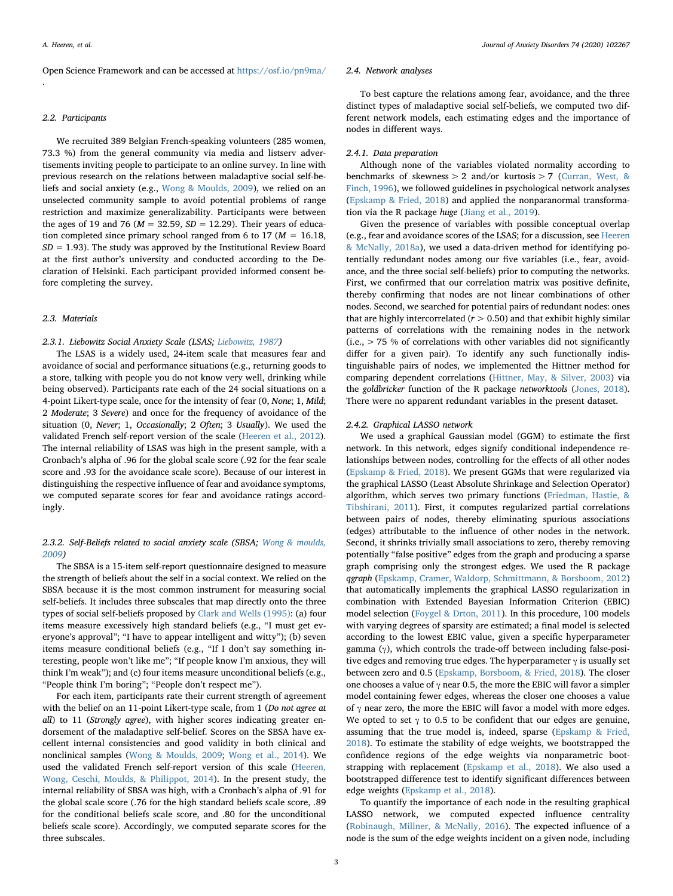Open Science Framework and can be accessed at <https://osf.io/pn9ma/> .

### 2.2. Participants

We recruited 389 Belgian French-speaking volunteers (285 women, 73.3 %) from the general community via media and listserv advertisements inviting people to participate to an online survey. In line with previous research on the relations between maladaptive social self-beliefs and social anxiety (e.g., [Wong & Moulds, 2009](#page-8-2)), we relied on an unselected community sample to avoid potential problems of range restriction and maximize generalizability. Participants were between the ages of 19 and 76 ( $M = 32.59$ ,  $SD = 12.29$ ). Their years of education completed since primary school ranged from 6 to 17 ( $M = 16.18$ ,  $SD = 1.93$ ). The study was approved by the Institutional Review Board at the first author's university and conducted according to the Declaration of Helsinki. Each participant provided informed consent before completing the survey.

## 2.3. Materials

# 2.3.1. Liebowitz Social Anxiety Scale (LSAS; [Liebowitz, 1987\)](#page-7-18)

The LSAS is a widely used, 24-item scale that measures fear and avoidance of social and performance situations (e.g., returning goods to a store, talking with people you do not know very well, drinking while being observed). Participants rate each of the 24 social situations on a 4-point Likert-type scale, once for the intensity of fear (0, None; 1, Mild; 2 Moderate; 3 Severe) and once for the frequency of avoidance of the situation (0, Never; 1, Occasionally; 2 Often; 3 Usually). We used the validated French self-report version of the scale [\(Heeren et al., 2012](#page-7-19)). The internal reliability of LSAS was high in the present sample, with a Cronbach's alpha of .96 for the global scale score (.92 for the fear scale score and .93 for the avoidance scale score). Because of our interest in distinguishing the respective influence of fear and avoidance symptoms, we computed separate scores for fear and avoidance ratings accordingly.

# 2.3.2. Self-Beliefs related to social anxiety scale (SBSA; [Wong & moulds,](#page-8-2) [2009](#page-8-2))

The SBSA is a 15-item self-report questionnaire designed to measure the strength of beliefs about the self in a social context. We relied on the SBSA because it is the most common instrument for measuring social self-beliefs. It includes three subscales that map directly onto the three types of social self-beliefs proposed by [Clark and Wells \(1995\)](#page-7-0): (a) four items measure excessively high standard beliefs (e.g., "I must get everyone's approval"; "I have to appear intelligent and witty"); (b) seven items measure conditional beliefs (e.g., "If I don't say something interesting, people won't like me"; "If people know I'm anxious, they will think I'm weak"); and (c) four items measure unconditional beliefs (e.g., "People think I'm boring"; "People don't respect me").

For each item, participants rate their current strength of agreement with the belief on an 11-point Likert-type scale, from 1 (Do not agree at all) to 11 (Strongly agree), with higher scores indicating greater endorsement of the maladaptive self-belief. Scores on the SBSA have excellent internal consistencies and good validity in both clinical and nonclinical samples [\(Wong & Moulds, 2009;](#page-8-2) [Wong et al., 2014\)](#page-8-4). We used the validated French self-report version of this scale [\(Heeren,](#page-7-20) [Wong, Ceschi, Moulds, & Philippot, 2014](#page-7-20)). In the present study, the internal reliability of SBSA was high, with a Cronbach's alpha of .91 for the global scale score (.76 for the high standard beliefs scale score, .89 for the conditional beliefs scale score, and .80 for the unconditional beliefs scale score). Accordingly, we computed separate scores for the three subscales.

### 2.4. Network analyses

To best capture the relations among fear, avoidance, and the three distinct types of maladaptive social self-beliefs, we computed two different network models, each estimating edges and the importance of nodes in different ways.

#### 2.4.1. Data preparation

Although none of the variables violated normality according to benchmarks of skewness  $> 2$  and/or kurtosis  $> 7$  [\(Curran, West, &](#page-7-21) [Finch, 1996](#page-7-21)), we followed guidelines in psychological network analyses ([Epskamp & Fried, 2018](#page-7-22)) and applied the nonparanormal transformation via the R package huge ([Jiang et al., 2019\)](#page-7-23).

Given the presence of variables with possible conceptual overlap (e.g., fear and avoidance scores of the LSAS; for a discussion, see [Heeren](#page-7-24) [& McNally, 2018a\)](#page-7-24), we used a data-driven method for identifying potentially redundant nodes among our five variables (i.e., fear, avoidance, and the three social self-beliefs) prior to computing the networks. First, we confirmed that our correlation matrix was positive definite, thereby confirming that nodes are not linear combinations of other nodes. Second, we searched for potential pairs of redundant nodes: ones that are highly intercorrelated ( $r > 0.50$ ) and that exhibit highly similar patterns of correlations with the remaining nodes in the network (i.e., > 75 % of correlations with other variables did not significantly differ for a given pair). To identify any such functionally indistinguishable pairs of nodes, we implemented the Hittner method for comparing dependent correlations [\(Hittner, May, & Silver, 2003\)](#page-7-25) via the goldbricker function of the R package networktools ([Jones, 2018](#page-7-26)). There were no apparent redundant variables in the present dataset.

# 2.4.2. Graphical LASSO network

We used a graphical Gaussian model (GGM) to estimate the first network. In this network, edges signify conditional independence relationships between nodes, controlling for the effects of all other nodes ([Epskamp & Fried, 2018\)](#page-7-22). We present GGMs that were regularized via the graphical LASSO (Least Absolute Shrinkage and Selection Operator) algorithm, which serves two primary functions ([Friedman, Hastie, &](#page-7-27) [Tibshirani, 2011\)](#page-7-27). First, it computes regularized partial correlations between pairs of nodes, thereby eliminating spurious associations (edges) attributable to the influence of other nodes in the network. Second, it shrinks trivially small associations to zero, thereby removing potentially "false positive" edges from the graph and producing a sparse graph comprising only the strongest edges. We used the R package qgraph ([Epskamp, Cramer, Waldorp, Schmittmann, & Borsboom, 2012\)](#page-7-28) that automatically implements the graphical LASSO regularization in combination with Extended Bayesian Information Criterion (EBIC) model selection [\(Foygel & Drton, 2011\)](#page-7-29). In this procedure, 100 models with varying degrees of sparsity are estimated; a final model is selected according to the lowest EBIC value, given a specific hyperparameter gamma (γ), which controls the trade-off between including false-positive edges and removing true edges. The hyperparameter  $\gamma$  is usually set between zero and 0.5 [\(Epskamp, Borsboom, & Fried, 2018\)](#page-7-30). The closer one chooses a value of  $\gamma$  near 0.5, the more the EBIC will favor a simpler model containing fewer edges, whereas the closer one chooses a value of  $\gamma$  near zero, the more the EBIC will favor a model with more edges. We opted to set  $\gamma$  to 0.5 to be confident that our edges are genuine, assuming that the true model is, indeed, sparse ([Epskamp & Fried,](#page-7-22) [2018\)](#page-7-22). To estimate the stability of edge weights, we bootstrapped the confidence regions of the edge weights via nonparametric bootstrapping with replacement [\(Epskamp et al., 2018\)](#page-7-30). We also used a bootstrapped difference test to identify significant differences between edge weights ([Epskamp et al., 2018\)](#page-7-30).

To quantify the importance of each node in the resulting graphical LASSO network, we computed expected influence centrality ([Robinaugh, Millner, & McNally, 2016](#page-8-14)). The expected influence of a node is the sum of the edge weights incident on a given node, including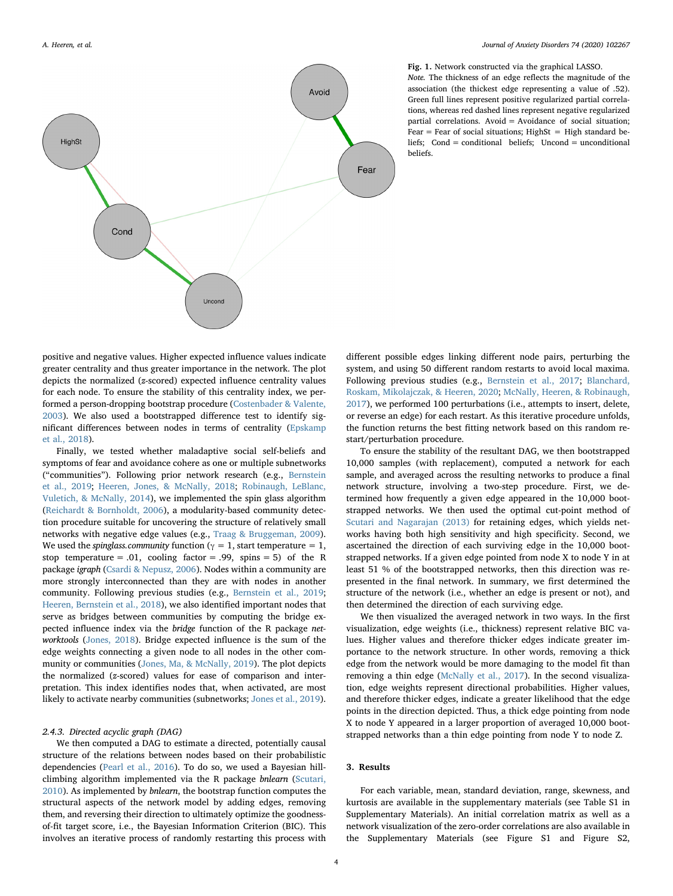<span id="page-3-0"></span>

Fig. 1. Network constructed via the graphical LASSO. Note. The thickness of an edge reflects the magnitude of the association (the thickest edge representing a value of .52). Green full lines represent positive regularized partial correlations, whereas red dashed lines represent negative regularized partial correlations. Avoid = Avoidance of social situation; Fear = Fear of social situations; HighSt = High standard beliefs; Cond = conditional beliefs; Uncond = unconditional beliefs.

positive and negative values. Higher expected influence values indicate greater centrality and thus greater importance in the network. The plot depicts the normalized (z-scored) expected influence centrality values for each node. To ensure the stability of this centrality index, we performed a person-dropping bootstrap procedure ([Costenbader & Valente,](#page-7-31) [2003\)](#page-7-31). We also used a bootstrapped difference test to identify significant differences between nodes in terms of centrality ([Epskamp](#page-7-30) [et al., 2018](#page-7-30)).

Finally, we tested whether maladaptive social self-beliefs and symptoms of fear and avoidance cohere as one or multiple subnetworks ("communities"). Following prior network research (e.g., [Bernstein](#page-6-2) [et al., 2019](#page-6-2); [Heeren, Jones, & McNally, 2018](#page-7-32); [Robinaugh, LeBlanc,](#page-8-15) [Vuletich, & McNally, 2014](#page-8-15)), we implemented the spin glass algorithm ([Reichardt & Bornholdt, 2006\)](#page-8-16), a modularity-based community detection procedure suitable for uncovering the structure of relatively small networks with negative edge values (e.g., [Traag & Bruggeman, 2009](#page-8-17)). We used the *spinglass.community* function ( $\gamma = 1$ , start temperature = 1, stop temperature = .01, cooling factor = .99, spins = 5) of the R package igraph [\(Csardi & Nepusz, 2006\)](#page-7-33). Nodes within a community are more strongly interconnected than they are with nodes in another community. Following previous studies (e.g., [Bernstein et al., 2019](#page-6-2); [Heeren, Bernstein et al., 2018\)](#page-7-9), we also identified important nodes that serve as bridges between communities by computing the bridge expected influence index via the bridge function of the R package networktools [\(Jones, 2018\)](#page-7-26). Bridge expected influence is the sum of the edge weights connecting a given node to all nodes in the other community or communities [\(Jones, Ma, & McNally, 2019\)](#page-7-34). The plot depicts the normalized (z-scored) values for ease of comparison and interpretation. This index identifies nodes that, when activated, are most likely to activate nearby communities (subnetworks; [Jones et al., 2019](#page-7-34)).

# 2.4.3. Directed acyclic graph (DAG)

We then computed a DAG to estimate a directed, potentially causal structure of the relations between nodes based on their probabilistic dependencies [\(Pearl et al., 2016](#page-8-8)). To do so, we used a Bayesian hillclimbing algorithm implemented via the R package bnlearn ([Scutari,](#page-8-9) [2010\)](#page-8-9). As implemented by bnlearn, the bootstrap function computes the structural aspects of the network model by adding edges, removing them, and reversing their direction to ultimately optimize the goodnessof-fit target score, i.e., the Bayesian Information Criterion (BIC). This involves an iterative process of randomly restarting this process with different possible edges linking different node pairs, perturbing the system, and using 50 different random restarts to avoid local maxima. Following previous studies (e.g., [Bernstein et al., 2017](#page-6-1); [Blanchard,](#page-6-4) [Roskam, Mikolajczak, & Heeren, 2020](#page-6-4); [McNally, Heeren, & Robinaugh,](#page-7-16) [2017\)](#page-7-16), we performed 100 perturbations (i.e., attempts to insert, delete, or reverse an edge) for each restart. As this iterative procedure unfolds, the function returns the best fitting network based on this random restart/perturbation procedure.

To ensure the stability of the resultant DAG, we then bootstrapped 10,000 samples (with replacement), computed a network for each sample, and averaged across the resulting networks to produce a final network structure, involving a two-step procedure. First, we determined how frequently a given edge appeared in the 10,000 bootstrapped networks. We then used the optimal cut-point method of [Scutari and Nagarajan \(2013\)](#page-8-18) for retaining edges, which yields networks having both high sensitivity and high specificity. Second, we ascertained the direction of each surviving edge in the 10,000 bootstrapped networks. If a given edge pointed from node X to node Y in at least 51 % of the bootstrapped networks, then this direction was represented in the final network. In summary, we first determined the structure of the network (i.e., whether an edge is present or not), and then determined the direction of each surviving edge.

We then visualized the averaged network in two ways. In the first visualization, edge weights (i.e., thickness) represent relative BIC values. Higher values and therefore thicker edges indicate greater importance to the network structure. In other words, removing a thick edge from the network would be more damaging to the model fit than removing a thin edge [\(McNally et al., 2017](#page-7-16)). In the second visualization, edge weights represent directional probabilities. Higher values, and therefore thicker edges, indicate a greater likelihood that the edge points in the direction depicted. Thus, a thick edge pointing from node X to node Y appeared in a larger proportion of averaged 10,000 bootstrapped networks than a thin edge pointing from node Y to node Z.

# 3. Results

For each variable, mean, standard deviation, range, skewness, and kurtosis are available in the supplementary materials (see Table S1 in Supplementary Materials). An initial correlation matrix as well as a network visualization of the zero-order correlations are also available in the Supplementary Materials (see Figure S1 and Figure S2,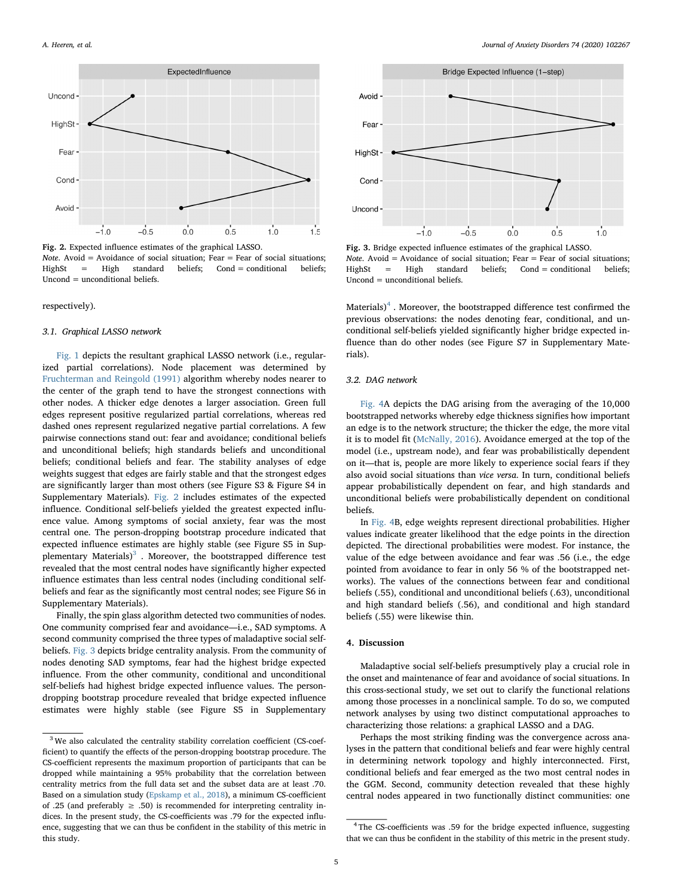<span id="page-4-0"></span>

Fig. 2. Expected influence estimates of the graphical LASSO.

*Note.* Avoid = Avoidance of social situation; Fear = Fear of social situations; HighSt = High standard beliefs; Cond = conditional beliefs; Uncond = unconditional beliefs.

## respectively).

## 3.1. Graphical LASSO network

[Fig. 1](#page-3-0) depicts the resultant graphical LASSO network (i.e., regularized partial correlations). Node placement was determined by [Fruchterman and Reingold \(1991\)](#page-7-35) algorithm whereby nodes nearer to the center of the graph tend to have the strongest connections with other nodes. A thicker edge denotes a larger association. Green full edges represent positive regularized partial correlations, whereas red dashed ones represent regularized negative partial correlations. A few pairwise connections stand out: fear and avoidance; conditional beliefs and unconditional beliefs; high standards beliefs and unconditional beliefs; conditional beliefs and fear. The stability analyses of edge weights suggest that edges are fairly stable and that the strongest edges are significantly larger than most others (see Figure S3 & Figure S4 in Supplementary Materials). [Fig. 2](#page-4-0) includes estimates of the expected influence. Conditional self-beliefs yielded the greatest expected influence value. Among symptoms of social anxiety, fear was the most central one. The person-dropping bootstrap procedure indicated that expected influence estimates are highly stable (see Figure S5 in Supplementary Materials $3<sup>3</sup>$  $3<sup>3</sup>$ . Moreover, the bootstrapped difference test revealed that the most central nodes have significantly higher expected influence estimates than less central nodes (including conditional selfbeliefs and fear as the significantly most central nodes; see Figure S6 in Supplementary Materials).

Finally, the spin glass algorithm detected two communities of nodes. One community comprised fear and avoidance—i.e., SAD symptoms. A second community comprised the three types of maladaptive social selfbeliefs. [Fig. 3](#page-4-2) depicts bridge centrality analysis. From the community of nodes denoting SAD symptoms, fear had the highest bridge expected influence. From the other community, conditional and unconditional self-beliefs had highest bridge expected influence values. The persondropping bootstrap procedure revealed that bridge expected influence estimates were highly stable (see Figure S5 in Supplementary

<span id="page-4-2"></span>

Fig. 3. Bridge expected influence estimates of the graphical LASSO. Note. Avoid = Avoidance of social situation; Fear = Fear of social situations;  $HighSt = High standard beliefs: Cond = conditional beliefs;$ Uncond = unconditional beliefs.

Materials)<sup>[4](#page-4-3)</sup>. Moreover, the bootstrapped difference test confirmed the previous observations: the nodes denoting fear, conditional, and unconditional self-beliefs yielded significantly higher bridge expected influence than do other nodes (see Figure S7 in Supplementary Materials).

# 3.2. DAG network

[Fig. 4A](#page-5-0) depicts the DAG arising from the averaging of the 10,000 bootstrapped networks whereby edge thickness signifies how important an edge is to the network structure; the thicker the edge, the more vital it is to model fit ([McNally, 2016\)](#page-7-14). Avoidance emerged at the top of the model (i.e., upstream node), and fear was probabilistically dependent on it—that is, people are more likely to experience social fears if they also avoid social situations than vice versa. In turn, conditional beliefs appear probabilistically dependent on fear, and high standards and unconditional beliefs were probabilistically dependent on conditional beliefs.

In [Fig. 4](#page-5-0)B, edge weights represent directional probabilities. Higher values indicate greater likelihood that the edge points in the direction depicted. The directional probabilities were modest. For instance, the value of the edge between avoidance and fear was .56 (i.e., the edge pointed from avoidance to fear in only 56 % of the bootstrapped networks). The values of the connections between fear and conditional beliefs (.55), conditional and unconditional beliefs (.63), unconditional and high standard beliefs (.56), and conditional and high standard beliefs (.55) were likewise thin.

# 4. Discussion

Maladaptive social self-beliefs presumptively play a crucial role in the onset and maintenance of fear and avoidance of social situations. In this cross-sectional study, we set out to clarify the functional relations among those processes in a nonclinical sample. To do so, we computed network analyses by using two distinct computational approaches to characterizing those relations: a graphical LASSO and a DAG.

Perhaps the most striking finding was the convergence across analyses in the pattern that conditional beliefs and fear were highly central in determining network topology and highly interconnected. First, conditional beliefs and fear emerged as the two most central nodes in the GGM. Second, community detection revealed that these highly central nodes appeared in two functionally distinct communities: one

<span id="page-4-1"></span><sup>&</sup>lt;sup>3</sup> We also calculated the centrality stability correlation coefficient (CS-coefficient) to quantify the effects of the person-dropping bootstrap procedure. The CS-coefficient represents the maximum proportion of participants that can be dropped while maintaining a 95% probability that the correlation between centrality metrics from the full data set and the subset data are at least .70. Based on a simulation study [\(Epskamp et al., 2018](#page-7-30)), a minimum CS-coefficient of .25 (and preferably  $\geq$  .50) is recommended for interpreting centrality indices. In the present study, the CS-coefficients was .79 for the expected influence, suggesting that we can thus be confident in the stability of this metric in this study.

<span id="page-4-3"></span><sup>&</sup>lt;sup>4</sup> The CS-coefficients was .59 for the bridge expected influence, suggesting that we can thus be confident in the stability of this metric in the present study.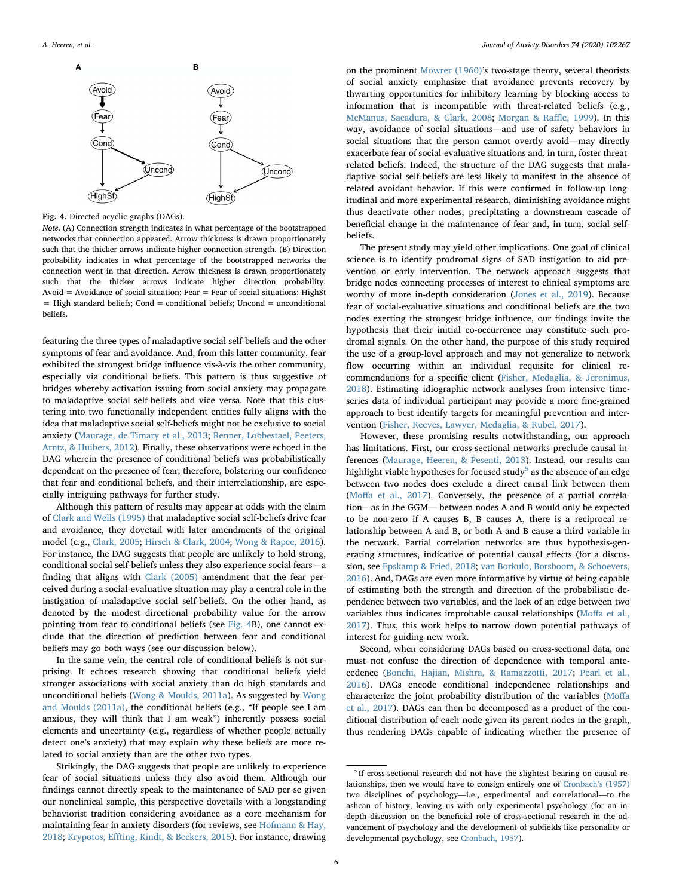<span id="page-5-0"></span>

Fig. 4. Directed acyclic graphs (DAGs).

Note. (A) Connection strength indicates in what percentage of the bootstrapped networks that connection appeared. Arrow thickness is drawn proportionately such that the thicker arrows indicate higher connection strength. (B) Direction probability indicates in what percentage of the bootstrapped networks the connection went in that direction. Arrow thickness is drawn proportionately such that the thicker arrows indicate higher direction probability. Avoid = Avoidance of social situation; Fear = Fear of social situations; HighSt = High standard beliefs; Cond = conditional beliefs; Uncond = unconditional beliefs.

featuring the three types of maladaptive social self-beliefs and the other symptoms of fear and avoidance. And, from this latter community, fear exhibited the strongest bridge influence vis-à-vis the other community, especially via conditional beliefs. This pattern is thus suggestive of bridges whereby activation issuing from social anxiety may propagate to maladaptive social self-beliefs and vice versa. Note that this clustering into two functionally independent entities fully aligns with the idea that maladaptive social self-beliefs might not be exclusive to social anxiety [\(Maurage, de Timary et al., 2013](#page-7-36); [Renner, Lobbestael, Peeters,](#page-8-19) [Arntz, & Huibers, 2012\)](#page-8-19). Finally, these observations were echoed in the DAG wherein the presence of conditional beliefs was probabilistically dependent on the presence of fear; therefore, bolstering our confidence that fear and conditional beliefs, and their interrelationship, are especially intriguing pathways for further study.

Although this pattern of results may appear at odds with the claim of [Clark and Wells \(1995\)](#page-7-0) that maladaptive social self-beliefs drive fear and avoidance, they dovetail with later amendments of the original model (e.g., [Clark, 2005;](#page-7-37) [Hirsch & Clark, 2004](#page-7-38); [Wong & Rapee, 2016](#page-8-1)). For instance, the DAG suggests that people are unlikely to hold strong, conditional social self-beliefs unless they also experience social fears—a finding that aligns with [Clark \(2005\)](#page-7-37) amendment that the fear perceived during a social-evaluative situation may play a central role in the instigation of maladaptive social self-beliefs. On the other hand, as denoted by the modest directional probability value for the arrow pointing from fear to conditional beliefs (see [Fig. 4B](#page-5-0)), one cannot exclude that the direction of prediction between fear and conditional beliefs may go both ways (see our discussion below).

In the same vein, the central role of conditional beliefs is not surprising. It echoes research showing that conditional beliefs yield stronger associations with social anxiety than do high standards and unconditional beliefs [\(Wong & Moulds, 2011a](#page-8-3)). As suggested by [Wong](#page-8-3) [and Moulds \(2011a\),](#page-8-3) the conditional beliefs (e.g., "If people see I am anxious, they will think that I am weak") inherently possess social elements and uncertainty (e.g., regardless of whether people actually detect one's anxiety) that may explain why these beliefs are more related to social anxiety than are the other two types.

Strikingly, the DAG suggests that people are unlikely to experience fear of social situations unless they also avoid them. Although our findings cannot directly speak to the maintenance of SAD per se given our nonclinical sample, this perspective dovetails with a longstanding behaviorist tradition considering avoidance as a core mechanism for maintaining fear in anxiety disorders (for reviews, see [Hofmann & Hay,](#page-7-39) [2018;](#page-7-39) Krypotos, Eff[ting, Kindt, & Beckers, 2015\)](#page-7-40). For instance, drawing

on the prominent [Mowrer \(1960\)](#page-7-41)'s two-stage theory, several theorists of social anxiety emphasize that avoidance prevents recovery by thwarting opportunities for inhibitory learning by blocking access to information that is incompatible with threat-related beliefs (e.g., [McManus, Sacadura, & Clark, 2008;](#page-7-42) [Morgan & Ra](#page-7-43)ffle, 1999). In this way, avoidance of social situations—and use of safety behaviors in social situations that the person cannot overtly avoid—may directly exacerbate fear of social-evaluative situations and, in turn, foster threatrelated beliefs. Indeed, the structure of the DAG suggests that maladaptive social self-beliefs are less likely to manifest in the absence of related avoidant behavior. If this were confirmed in follow-up longitudinal and more experimental research, diminishing avoidance might thus deactivate other nodes, precipitating a downstream cascade of beneficial change in the maintenance of fear and, in turn, social selfbeliefs.

The present study may yield other implications. One goal of clinical science is to identify prodromal signs of SAD instigation to aid prevention or early intervention. The network approach suggests that bridge nodes connecting processes of interest to clinical symptoms are worthy of more in-depth consideration ([Jones et al., 2019\)](#page-7-34). Because fear of social-evaluative situations and conditional beliefs are the two nodes exerting the strongest bridge influence, our findings invite the hypothesis that their initial co-occurrence may constitute such prodromal signals. On the other hand, the purpose of this study required the use of a group-level approach and may not generalize to network flow occurring within an individual requisite for clinical recommendations for a specific client ([Fisher, Medaglia, & Jeronimus,](#page-7-44) [2018\)](#page-7-44). Estimating idiographic network analyses from intensive timeseries data of individual participant may provide a more fine-grained approach to best identify targets for meaningful prevention and intervention ([Fisher, Reeves, Lawyer, Medaglia, & Rubel, 2017\)](#page-7-45).

However, these promising results notwithstanding, our approach has limitations. First, our cross-sectional networks preclude causal inferences [\(Maurage, Heeren, & Pesenti, 2013](#page-7-46)). Instead, our results can highlight viable hypotheses for focused study<sup>[5](#page-5-1)</sup> as the absence of an edge between two nodes does exclude a direct causal link between them (Moff[a et al., 2017](#page-7-15)). Conversely, the presence of a partial correlation—as in the GGM— between nodes A and B would only be expected to be non-zero if A causes B, B causes A, there is a reciprocal relationship between A and B, or both A and B cause a third variable in the network. Partial correlation networks are thus hypothesis-generating structures, indicative of potential causal effects (for a discussion, see [Epskamp & Fried, 2018](#page-7-22); [van Borkulo, Borsboom, & Schoevers,](#page-8-20) [2016\)](#page-8-20). And, DAGs are even more informative by virtue of being capable of estimating both the strength and direction of the probabilistic dependence between two variables, and the lack of an edge between two variables thus indicates improbable causal relationships (Moff[a et al.,](#page-7-15) [2017\)](#page-7-15). Thus, this work helps to narrow down potential pathways of interest for guiding new work.

Second, when considering DAGs based on cross-sectional data, one must not confuse the direction of dependence with temporal antecedence ([Bonchi, Hajian, Mishra, & Ramazzotti, 2017](#page-6-5); [Pearl et al.,](#page-8-8) [2016\)](#page-8-8). DAGs encode conditional independence relationships and characterize the joint probability distribution of the variables [\(Mo](#page-7-15)ffa [et al., 2017](#page-7-15)). DAGs can then be decomposed as a product of the conditional distribution of each node given its parent nodes in the graph, thus rendering DAGs capable of indicating whether the presence of

<span id="page-5-1"></span><sup>5</sup> If cross-sectional research did not have the slightest bearing on causal relationships, then we would have to consign entirely one of [Cronbach](#page-7-47)'s (1957) two disciplines of psychology—i.e., experimental and correlational—to the ashcan of history, leaving us with only experimental psychology (for an indepth discussion on the beneficial role of cross-sectional research in the advancement of psychology and the development of subfields like personality or developmental psychology, see [Cronbach, 1957](#page-7-47)).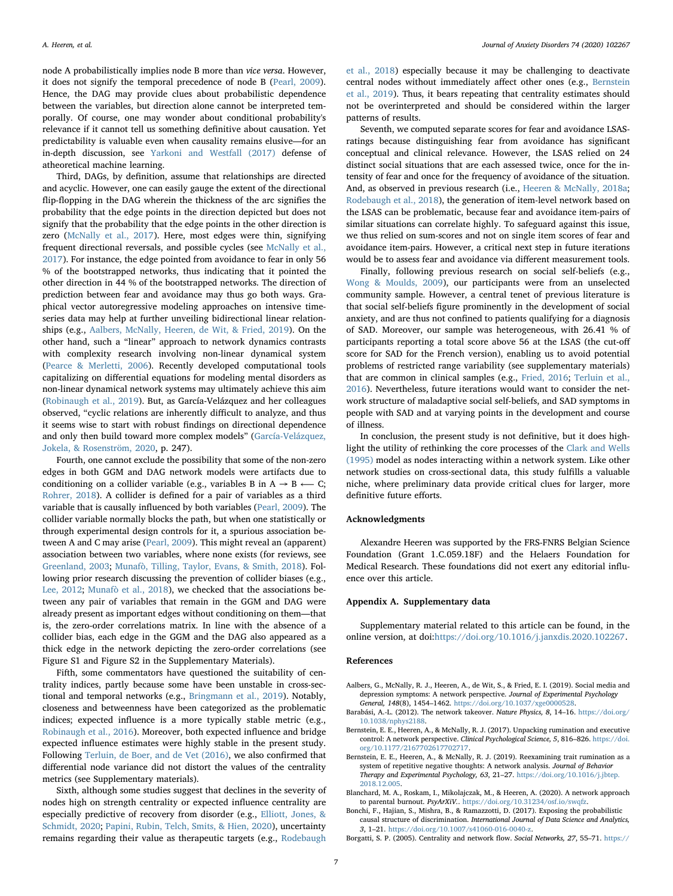node A probabilistically implies node B more than vice versa. However, it does not signify the temporal precedence of node B ([Pearl, 2009](#page-8-10)). Hence, the DAG may provide clues about probabilistic dependence between the variables, but direction alone cannot be interpreted temporally. Of course, one may wonder about conditional probability's relevance if it cannot tell us something definitive about causation. Yet predictability is valuable even when causality remains elusive—for an in-depth discussion, see [Yarkoni and Westfall \(2017\)](#page-8-21) defense of atheoretical machine learning.

Third, DAGs, by definition, assume that relationships are directed and acyclic. However, one can easily gauge the extent of the directional flip-flopping in the DAG wherein the thickness of the arc signifies the probability that the edge points in the direction depicted but does not signify that the probability that the edge points in the other direction is zero ([McNally et al., 2017](#page-7-16)). Here, most edges were thin, signifying frequent directional reversals, and possible cycles (see [McNally et al.,](#page-7-16) [2017\)](#page-7-16). For instance, the edge pointed from avoidance to fear in only 56 % of the bootstrapped networks, thus indicating that it pointed the other direction in 44 % of the bootstrapped networks. The direction of prediction between fear and avoidance may thus go both ways. Graphical vector autoregressive modeling approaches on intensive timeseries data may help at further unveiling bidirectional linear relationships (e.g., [Aalbers, McNally, Heeren, de Wit, & Fried, 2019\)](#page-6-6). On the other hand, such a "linear" approach to network dynamics contrasts with complexity research involving non-linear dynamical system ([Pearce & Merletti, 2006](#page-7-48)). Recently developed computational tools capitalizing on differential equations for modeling mental disorders as non-linear dynamical network systems may ultimately achieve this aim ([Robinaugh et al., 2019\)](#page-8-6). But, as García-Velázquez and her colleagues observed, "cyclic relations are inherently difficult to analyze, and thus it seems wise to start with robust findings on directional dependence and only then build toward more complex models" [\(García-Velázquez,](#page-7-49) [Jokela, & Rosenström, 2020,](#page-7-49) p. 247).

Fourth, one cannot exclude the possibility that some of the non-zero edges in both GGM and DAG network models were artifacts due to conditioning on a collider variable (e.g., variables B in  $A \rightarrow B \leftarrow C$ ; [Rohrer, 2018](#page-8-22)). A collider is defined for a pair of variables as a third variable that is causally influenced by both variables ([Pearl, 2009](#page-8-10)). The collider variable normally blocks the path, but when one statistically or through experimental design controls for it, a spurious association between A and C may arise ([Pearl, 2009\)](#page-8-10). This might reveal an (apparent) association between two variables, where none exists (for reviews, see [Greenland, 2003;](#page-7-50) [Munafò, Tilling, Taylor, Evans, & Smith, 2018](#page-7-51)). Following prior research discussing the prevention of collider biases (e.g., [Lee, 2012;](#page-7-52) [Munafò et al., 2018](#page-7-51)), we checked that the associations between any pair of variables that remain in the GGM and DAG were already present as important edges without conditioning on them—that is, the zero-order correlations matrix. In line with the absence of a collider bias, each edge in the GGM and the DAG also appeared as a thick edge in the network depicting the zero-order correlations (see Figure S1 and Figure S2 in the Supplementary Materials).

Fifth, some commentators have questioned the suitability of centrality indices, partly because some have been unstable in cross-sectional and temporal networks (e.g., [Bringmann et al., 2019](#page-7-53)). Notably, closeness and betweenness have been categorized as the problematic indices; expected influence is a more typically stable metric (e.g., [Robinaugh et al., 2016](#page-8-14)). Moreover, both expected influence and bridge expected influence estimates were highly stable in the present study. Following [Terluin, de Boer, and de Vet \(2016\)](#page-8-23), we also confirmed that differential node variance did not distort the values of the centrality metrics (see Supplementary materials).

Sixth, although some studies suggest that declines in the severity of nodes high on strength centrality or expected influence centrality are especially predictive of recovery from disorder (e.g., [Elliott, Jones, &](#page-7-54) [Schmidt, 2020;](#page-7-54) [Papini, Rubin, Telch, Smits, & Hien, 2020\)](#page-7-55), uncertainty remains regarding their value as therapeutic targets (e.g., [Rodebaugh](#page-8-7)

[et al., 2018\)](#page-8-7) especially because it may be challenging to deactivate central nodes without immediately affect other ones (e.g., [Bernstein](#page-6-2) [et al., 2019](#page-6-2)). Thus, it bears repeating that centrality estimates should not be overinterpreted and should be considered within the larger patterns of results.

Seventh, we computed separate scores for fear and avoidance LSASratings because distinguishing fear from avoidance has significant conceptual and clinical relevance. However, the LSAS relied on 24 distinct social situations that are each assessed twice, once for the intensity of fear and once for the frequency of avoidance of the situation. And, as observed in previous research (i.e., [Heeren & McNally, 2018a](#page-7-24); [Rodebaugh et al., 2018](#page-8-7)), the generation of item-level network based on the LSAS can be problematic, because fear and avoidance item-pairs of similar situations can correlate highly. To safeguard against this issue, we thus relied on sum-scores and not on single item scores of fear and avoidance item-pairs. However, a critical next step in future iterations would be to assess fear and avoidance via different measurement tools.

Finally, following previous research on social self-beliefs (e.g., [Wong & Moulds, 2009](#page-8-2)), our participants were from an unselected community sample. However, a central tenet of previous literature is that social self-beliefs figure prominently in the development of social anxiety, and are thus not confined to patients qualifying for a diagnosis of SAD. Moreover, our sample was heterogeneous, with 26.41 % of participants reporting a total score above 56 at the LSAS (the cut-off score for SAD for the French version), enabling us to avoid potential problems of restricted range variability (see supplementary materials) that are common in clinical samples (e.g., [Fried, 2016](#page-7-56); [Terluin et al.,](#page-8-23) [2016\)](#page-8-23). Nevertheless, future iterations would want to consider the network structure of maladaptive social self-beliefs, and SAD symptoms in people with SAD and at varying points in the development and course of illness.

In conclusion, the present study is not definitive, but it does highlight the utility of rethinking the core processes of the [Clark and Wells](#page-7-0) [\(1995\)](#page-7-0) model as nodes interacting within a network system. Like other network studies on cross-sectional data, this study fulfills a valuable niche, where preliminary data provide critical clues for larger, more definitive future efforts.

# Acknowledgments

Alexandre Heeren was supported by the FRS-FNRS Belgian Science Foundation (Grant 1.C.059.18F) and the Helaers Foundation for Medical Research. These foundations did not exert any editorial influence over this article.

## Appendix A. Supplementary data

Supplementary material related to this article can be found, in the online version, at doi:<https://doi.org/10.1016/j.janxdis.2020.102267>.

#### References

- <span id="page-6-6"></span>Aalbers, G., McNally, R. J., Heeren, A., de Wit, S., & Fried, E. I. (2019). Social media and depression symptoms: A network perspective. Journal of Experimental Psychology General, 148(8), 1454–1462. [https://doi.org/10.1037/xge0000528.](https://doi.org/10.1037/xge0000528)
- <span id="page-6-0"></span>Barabási, A.-L. (2012). The network takeover. Nature Physics, 8, 14–16. [https://doi.org/](https://doi.org/10.1038/nphys2188) [10.1038/nphys2188](https://doi.org/10.1038/nphys2188).
- <span id="page-6-1"></span>Bernstein, E. E., Heeren, A., & McNally, R. J. (2017). Unpacking rumination and executive control: A network perspective. Clinical Psychological Science, 5, 816-826. [https://doi.](https://doi.org/10.1177/2167702617702717) [org/10.1177/2167702617702717.](https://doi.org/10.1177/2167702617702717)
- <span id="page-6-2"></span>Bernstein, E. E., Heeren, A., & McNally, R. J. (2019). Reexamining trait rumination as a system of repetitive negative thoughts: A network analysis. Journal of Behavior Therapy and Experimental Psychology, 63, 21–27. [https://doi.org/10.1016/j.jbtep.](https://doi.org/10.1016/j.jbtep.2018.12.005) [2018.12.005](https://doi.org/10.1016/j.jbtep.2018.12.005).
- <span id="page-6-4"></span>Blanchard, M. A., Roskam, I., Mikolajczak, M., & Heeren, A. (2020). A network approach to parental burnout. PsyArXiV.. <https://doi.org/10.31234/osf.io/swqfz>.
- <span id="page-6-5"></span>Bonchi, F., Hajian, S., Mishra, B., & Ramazzotti, D. (2017). Exposing the probabilistic causal structure of discrimination. International Journal of Data Science and Analytics, 3, 1–21. <https://doi.org/10.1007/s41060-016-0040-z>.
- <span id="page-6-3"></span>Borgatti, S. P. (2005). Centrality and network flow. Social Networks, 27, 55–71. [https://](https://doi.org/10.1016/j.socnet.2004.11.008)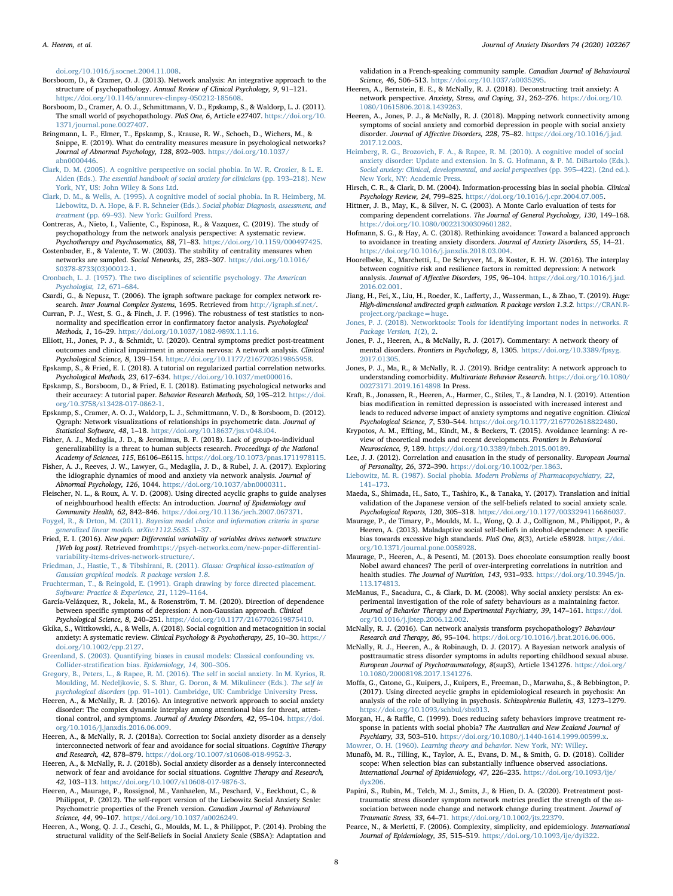[doi.org/10.1016/j.socnet.2004.11.008](https://doi.org/10.1016/j.socnet.2004.11.008).

- <span id="page-7-6"></span>Borsboom, D., & Cramer, O. J. (2013). Network analysis: An integrative approach to the structure of psychopathology. Annual Review of Clinical Psychology, 9, 91–121. [https://doi.org/10.1146/annurev-clinpsy-050212-185608.](https://doi.org/10.1146/annurev-clinpsy-050212-185608)
- <span id="page-7-5"></span>Borsboom, D., Cramer, A. O. J., Schmittmann, V. D., Epskamp, S., & Waldorp, L. J. (2011). The small world of psychopathology. PloS One, 6, Article e27407. [https://doi.org/10.](https://doi.org/10.1371/journal.pone.0027407) [1371/journal.pone.0027407.](https://doi.org/10.1371/journal.pone.0027407)
- <span id="page-7-53"></span>Bringmann, L. F., Elmer, T., Epskamp, S., Krause, R. W., Schoch, D., Wichers, M., & Snippe, E. (2019). What do centrality measures measure in psychological networks? Journal of Abnormal Psychology, 128, 892–903. [https://doi.org/10.1037/](https://doi.org/10.1037/abn0000446) [abn0000446](https://doi.org/10.1037/abn0000446).
- <span id="page-7-37"></span>[Clark, D. M. \(2005\). A cognitive perspective on social phobia. In W. R. Crozier, & L. E.](http://refhub.elsevier.com/S0887-6185(20)30081-5/sbref0055) Alden (Eds.). [The essential handbook of social anxiety for clinicians](http://refhub.elsevier.com/S0887-6185(20)30081-5/sbref0055) (pp. 193–218). New [York, NY, US: John Wiley & Sons Ltd](http://refhub.elsevier.com/S0887-6185(20)30081-5/sbref0055).
- <span id="page-7-0"></span>[Clark, D. M., & Wells, A. \(1995\). A cognitive model of social phobia. In R. Heimberg, M.](http://refhub.elsevier.com/S0887-6185(20)30081-5/sbref0060) [Liebowitz, D. A. Hope, & F. R. Schneier \(Eds.\).](http://refhub.elsevier.com/S0887-6185(20)30081-5/sbref0060) Social phobia: Diagnosis, assessment, and treatment (pp. 69–[93\). New York: Guilford Press](http://refhub.elsevier.com/S0887-6185(20)30081-5/sbref0060).
- <span id="page-7-7"></span>Contreras, A., Nieto, I., Valiente, C., Espinosa, R., & Vazquez, C. (2019). The study of psychopathology from the network analysis perspective: A systematic review. Psychotherapy and Psychosomatics, 88, 71–83. [https://doi.org/10.1159/000497425.](https://doi.org/10.1159/000497425)
- <span id="page-7-31"></span>Costenbader, E., & Valente, T. W. (2003). The stability of centrality measures when networks are sampled. Social Networks, 25, 283–307. [https://doi.org/10.1016/](https://doi.org/10.1016/S0378-8733(03)00012-1) [S0378-8733\(03\)00012-1](https://doi.org/10.1016/S0378-8733(03)00012-1).
- <span id="page-7-47"></span>[Cronbach, L. J. \(1957\). The two disciplines of scienti](http://refhub.elsevier.com/S0887-6185(20)30081-5/sbref0075)fic psychology. The American [Psychologist, 12](http://refhub.elsevier.com/S0887-6185(20)30081-5/sbref0075), 671–684.
- <span id="page-7-33"></span>Csardi, G., & Nepusz, T. (2006). The igraph software package for complex network research. Inter Journal Complex Systems, 1695. Retrieved from [http://igraph.sf.net/.](http://igraph.sf.net/)
- <span id="page-7-21"></span>Curran, P. J., West, S. G., & Finch, J. F. (1996). The robustness of test statistics to nonnormality and specification error in confirmatory factor analysis. Psychological Methods, 1, 16–29. [https://doi.org/10.1037/1082-989X.1.1.16.](https://doi.org/10.1037/1082-989X.1.1.16)
- <span id="page-7-54"></span>Elliott, H., Jones, P. J., & Schmidt, U. (2020). Central symptoms predict post-treatment outcomes and clinical impairment in anorexia nervosa: A network analysis. Clinical Psychological Science, 8, 139–154. <https://doi.org/10.1177/2167702619865958>.
- <span id="page-7-22"></span>Epskamp, S., & Fried, E. I. (2018). A tutorial on regularized partial correlation networks. Psychological Methods, 23, 617–634. <https://doi.org/10.1037/met000016>.
- <span id="page-7-30"></span>Epskamp, S., Borsboom, D., & Fried, E. I. (2018). Estimating psychological networks and their accuracy: A tutorial paper. Behavior Research Methods, 50, 195–212. [https://doi.](https://doi.org/10.3758/s13428-017-0862-1) [org/10.3758/s13428-017-0862-1.](https://doi.org/10.3758/s13428-017-0862-1)
- <span id="page-7-28"></span>Epskamp, S., Cramer, A. O. J., Waldorp, L. J., Schmittmann, V. D., & Borsboom, D. (2012). Qgraph: Network visualizations of relationships in psychometric data. Journal of Statistical Software, 48, 1–18. [https://doi.org/10.18637/jss.v048.i04.](https://doi.org/10.18637/jss.v048.i04)
- <span id="page-7-44"></span>Fisher, A. J., Medaglia, J. D., & Jeronimus, B. F. (2018). Lack of group-to-individual generalizability is a threat to human subjects research. Proceedings of the National Academy of Sciences, 115, E6106–E6115. [https://doi.org/10.1073/pnas.1711978115.](https://doi.org/10.1073/pnas.1711978115)
- <span id="page-7-45"></span>Fisher, A. J., Reeves, J. W., Lawyer, G., Medaglia, J. D., & Rubel, J. A. (2017). Exploring the idiographic dynamics of mood and anxiety via network analysis. Journal of Abnormal Psychology, 126, 1044. <https://doi.org/10.1037/abn0000311>.
- <span id="page-7-17"></span>Fleischer, N. L., & Roux, A. V. D. (2008). Using directed acyclic graphs to guide analyses of neighbourhood health effects: An introduction. Journal of Epidemiology and Community Health, 62, 842–846. <https://doi.org/10.1136/jech.2007.067371>.
- <span id="page-7-29"></span>Foygel, R., & Drton, M. (2011). [Bayesian model choice and information criteria in sparse](http://refhub.elsevier.com/S0887-6185(20)30081-5/sbref0125) [generalized linear models. arXiv:1112.5635.](http://refhub.elsevier.com/S0887-6185(20)30081-5/sbref0125) 1–37.
- <span id="page-7-56"></span>Fried, E. I. (2016). New paper: Differential variability of variables drives network structure [Web log post]. Retrieved from[https://psych-networks.com/new-paper-di](https://psych-networks.com/new-paper-differential-variability-items-drives-network-structure/)fferential[variability-items-drives-network-structure/.](https://psych-networks.com/new-paper-differential-variability-items-drives-network-structure/)
- <span id="page-7-27"></span>[Friedman, J., Hastie, T., & Tibshirani, R. \(2011\).](http://refhub.elsevier.com/S0887-6185(20)30081-5/sbref0135) Glasso: Graphical lasso-estimation of [Gaussian graphical models. R package version 1.8](http://refhub.elsevier.com/S0887-6185(20)30081-5/sbref0135).
- <span id="page-7-35"></span>[Fruchterman, T., & Reingold, E. \(1991\). Graph drawing by force directed placement.](http://refhub.elsevier.com/S0887-6185(20)30081-5/sbref0140) [Software: Practice & Experience, 21](http://refhub.elsevier.com/S0887-6185(20)30081-5/sbref0140), 1129–1164.
- <span id="page-7-49"></span>García-Velázquez, R., Jokela, M., & Rosenström, T. M. (2020). Direction of dependence between specific symptoms of depression: A non-Gaussian approach. Clinical Psychological Science, 8, 240–251. <https://doi.org/10.1177/2167702619875410>.
- <span id="page-7-2"></span>Gkika, S., Wittkowski, A., & Wells, A. (2018). Social cognition and metacognition in social anxiety: A systematic review. Clinical Psychology & Psychotherapy, 25, 10–30. [https://](https://doi.org/10.1002/cpp.2127) [doi.org/10.1002/cpp.2127](https://doi.org/10.1002/cpp.2127).
- <span id="page-7-50"></span>[Greenland, S. \(2003\). Quantifying biases in causal models: Classical confounding vs.](http://refhub.elsevier.com/S0887-6185(20)30081-5/sbref0155) Collider-stratification bias. [Epidemiology, 14](http://refhub.elsevier.com/S0887-6185(20)30081-5/sbref0155), 300–306.
- <span id="page-7-3"></span>Gregory, [B., Peters, L., & Rapee, R. M. \(2016\). The self in social anxiety. In M. Kyrios, R.](http://refhub.elsevier.com/S0887-6185(20)30081-5/sbref0160) [Moulding, M. Nedeljkovic, S. S. Bhar, G. Doron, & M. Mikulincer \(Eds.\).](http://refhub.elsevier.com/S0887-6185(20)30081-5/sbref0160) The self in psychological disorders (pp. 91–[101\). Cambridge, UK: Cambridge University Press](http://refhub.elsevier.com/S0887-6185(20)30081-5/sbref0160).
- <span id="page-7-10"></span>Heeren, A., & McNally, R. J. (2016). An integrative network approach to social anxiety disorder: The complex dynamic interplay among attentional bias for threat, attentional control, and symptoms. Journal of Anxiety Disorders, 42, 95–104. [https://doi.](https://doi.org/10.1016/j.janxdis.2016.06.009) [org/10.1016/j.janxdis.2016.06.009.](https://doi.org/10.1016/j.janxdis.2016.06.009)
- <span id="page-7-24"></span>Heeren, A., & McNally, R. J. (2018a). Correction to: Social anxiety disorder as a densely interconnected network of fear and avoidance for social situations. Cognitive Therapy and Research, 42, 878–879. <https://doi.org/10.1007/s10608-018-9952-3>.
- <span id="page-7-8"></span>Heeren, A., & McNally, R. J. (2018b). Social anxiety disorder as a densely interconnected network of fear and avoidance for social situations. Cognitive Therapy and Research, 42, 103–113. <https://doi.org/10.1007/s10608-017-9876-3>.
- <span id="page-7-19"></span>Heeren, A., Maurage, P., Rossignol, M., Vanhaelen, M., Peschard, V., Eeckhout, C., & Philippot, P. (2012). The self-report version of the Liebowitz Social Anxiety Scale: Psychometric properties of the French version. Canadian Journal of Behavioural Science, 44, 99–107. <https://doi.org/10.1037/a0026249>.
- <span id="page-7-20"></span>Heeren, A., Wong, Q. J. J., Ceschi, G., Moulds, M. L., & Philippot, P. (2014). Probing the structural validity of the Self-Beliefs in Social Anxiety Scale (SBSA): Adaptation and

validation in a French-speaking community sample. Canadian Journal of Behavioural Science, 46, 506–513. [https://doi.org/10.1037/a0035295.](https://doi.org/10.1037/a0035295)

- <span id="page-7-9"></span>Heeren, A., Bernstein, E. E., & McNally, R. J. (2018). Deconstructing trait anxiety: A network perspective. Anxiety, Stress, and Coping, 31, 262–276. [https://doi.org/10.](https://doi.org/10.1080/10615806.2018.1439263) [1080/10615806.2018.1439263.](https://doi.org/10.1080/10615806.2018.1439263)
- <span id="page-7-32"></span>Heeren, A., Jones, P. J., & McNally, R. J. (2018). Mapping network connectivity among symptoms of social anxiety and comorbid depression in people with social anxiety disorder. Journal of Affective Disorders, 228, 75–82. [https://doi.org/10.1016/j.jad.](https://doi.org/10.1016/j.jad.2017.12.003) [2017.12.003](https://doi.org/10.1016/j.jad.2017.12.003).
- <span id="page-7-1"></span>[Heimberg, R. G., Brozovich, F. A., & Rapee, R. M. \(2010\). A cognitive model of social](http://refhub.elsevier.com/S0887-6185(20)30081-5/sbref0200) [anxiety disorder: Update and extension. In S. G. Hofmann, & P. M. DiBartolo \(Eds.\).](http://refhub.elsevier.com/S0887-6185(20)30081-5/sbref0200) [Social anxiety: Clinical, developmental, and social perspectives](http://refhub.elsevier.com/S0887-6185(20)30081-5/sbref0200) (pp. 395–422). (2nd ed.). [New York, NY: Academic Press](http://refhub.elsevier.com/S0887-6185(20)30081-5/sbref0200).
- <span id="page-7-38"></span>Hirsch, C. R., & Clark, D. M. (2004). Information-processing bias in social phobia. Clinical Psychology Review, 24, 799–825. <https://doi.org/10.1016/j.cpr.2004.07.005>.
- <span id="page-7-25"></span>Hittner, J. B., May, K., & Silver, N. C. (2003). A Monte Carlo evaluation of tests for comparing dependent correlations. The Journal of General Psychology, 130, 149–168. <https://doi.org/10.1080/00221300309601282>.
- <span id="page-7-39"></span>Hofmann, S. G., & Hay, A. C. (2018). Rethinking avoidance: Toward a balanced approach to avoidance in treating anxiety disorders. Journal of Anxiety Disorders, 55, 14–21. [https://doi.org/10.1016/j.janxdis.2018.03.004.](https://doi.org/10.1016/j.janxdis.2018.03.004)
- <span id="page-7-11"></span>Hoorelbeke, K., Marchetti, I., De Schryver, M., & Koster, E. H. W. (2016). The interplay between cognitive risk and resilience factors in remitted depression: A network analysis. Journal of Affective Disorders, 195, 96–104. [https://doi.org/10.1016/j.jad.](https://doi.org/10.1016/j.jad.2016.02.001) [2016.02.001](https://doi.org/10.1016/j.jad.2016.02.001).
- <span id="page-7-23"></span>Jiang, H., Fei, X., Liu, H., Roeder, K., Lafferty, J., Wasserman, L., & Zhao, T. (2019). Huge: High-dimensional undirected graph estimation. R package version 1.3.2. [https://CRAN.R](https://CRAN.R-project.org/package=huge)[project.org/package=huge](https://CRAN.R-project.org/package=huge).
- <span id="page-7-26"></span>[Jones, P. J. \(2018\). Networktools: Tools for identifying important nodes in networks.](http://refhub.elsevier.com/S0887-6185(20)30081-5/sbref0230) R [Package Version, 1](http://refhub.elsevier.com/S0887-6185(20)30081-5/sbref0230)(2), 2.
- <span id="page-7-13"></span>Jones, P. J., Heeren, A., & McNally, R. J. (2017). Commentary: A network theory of mental disorders. Frontiers in Psychology, 8, 1305. [https://doi.org/10.3389/fpsyg.](https://doi.org/10.3389/fpsyg.2017.01305) [2017.01305.](https://doi.org/10.3389/fpsyg.2017.01305)
- <span id="page-7-34"></span>Jones, P. J., Ma, R., & McNally, R. J. (2019). Bridge centrality: A network approach to understanding comorbidity. Multivariate Behavior Research. [https://doi.org/10.1080/](https://doi.org/10.1080/00273171.2019.1614898) [00273171.2019.1614898](https://doi.org/10.1080/00273171.2019.1614898) In Press.
- <span id="page-7-12"></span>Kraft, B., Jonassen, R., Heeren, A., Harmer, C., Stiles, T., & Landrø, N. I. (2019). Attention bias modification in remitted depression is associated with increased interest and leads to reduced adverse impact of anxiety symptoms and negative cognition. Clinical Psychological Science, 7, 530–544. <https://doi.org/10.1177/2167702618822480>.
- <span id="page-7-40"></span>Krypotos, A. M., Effting, M., Kindt, M., & Beckers, T. (2015). Avoidance learning: A review of theoretical models and recent developments. Frontiers in Behavioral Neuroscience, 9, 189. <https://doi.org/10.3389/fnbeh.2015.00189>.
- <span id="page-7-52"></span>Lee, J. J. (2012). Correlation and causation in the study of personality. European Journal of Personality, 26, 372–390. <https://doi.org/10.1002/per.1863>.
- <span id="page-7-18"></span>Liebowitz, M. R. (1987). Social phobia. [Modern Problems of Pharmacopsychiatry, 22](http://refhub.elsevier.com/S0887-6185(20)30081-5/sbref0260), 141–[173](http://refhub.elsevier.com/S0887-6185(20)30081-5/sbref0260).
- <span id="page-7-4"></span>Maeda, S., Shimada, H., Sato, T., Tashiro, K., & Tanaka, Y. (2017). Translation and initial validation of the Japanese version of the self-beliefs related to social anxiety scale. Psychological Reports, 120, 305–318. [https://doi.org/10.1177/0033294116686037.](https://doi.org/10.1177/0033294116686037)
- <span id="page-7-36"></span>Maurage, P., de Timary, P., Moulds, M. L., Wong, Q. J. J., Collignon, M., Philippot, P., & Heeren, A. (2013). Maladaptive social self-beliefs in alcohol-dependence: A specific bias towards excessive high standards. PloS One, 8(3), Article e58928. [https://doi.](https://doi.org/10.1371/journal.pone.0058928) [org/10.1371/journal.pone.0058928](https://doi.org/10.1371/journal.pone.0058928).
- <span id="page-7-46"></span>Maurage, P., Heeren, A., & Pesenti, M. (2013). Does chocolate consumption really boost Nobel award chances? The peril of over-interpreting correlations in nutrition and health studies. The Journal of Nutrition, 143, 931-933. [https://doi.org/10.3945/jn.](https://doi.org/10.3945/jn.113.174813) [113.174813.](https://doi.org/10.3945/jn.113.174813)
- <span id="page-7-42"></span>McManus, F., Sacadura, C., & Clark, D. M. (2008). Why social anxiety persists: An experimental investigation of the role of safety behaviours as a maintaining factor. Journal of Behavior Therapy and Experimental Psychiatry, 39, 147–161. [https://doi.](https://doi.org/10.1016/j.jbtep.2006.12.002) [org/10.1016/j.jbtep.2006.12.002](https://doi.org/10.1016/j.jbtep.2006.12.002).
- <span id="page-7-14"></span>McNally, R. J. (2016). Can network analysis transform psychopathology? Behaviour Research and Therapy, 86, 95–104. <https://doi.org/10.1016/j.brat.2016.06.006>.
- <span id="page-7-16"></span>McNally, R. J., Heeren, A., & Robinaugh, D. J. (2017). A Bayesian network analysis of posttraumatic stress disorder symptoms in adults reporting childhood sexual abuse. European Journal of Psychotraumatology, 8(sup3), Article 1341276. [https://doi.org/](https://doi.org/10.1080/20008198.2017.1341276) [10.1080/20008198.2017.1341276.](https://doi.org/10.1080/20008198.2017.1341276)
- <span id="page-7-15"></span>Moffa, G., Catone, G., Kuipers, J., Kuipers, E., Freeman, D., Marwaha, S., & Bebbington, P. (2017). Using directed acyclic graphs in epidemiological research in psychosis: An analysis of the role of bullying in psychosis. Schizophrenia Bulletin, 43, 1273–1279. [https://doi.org/10.1093/schbul/sbx013.](https://doi.org/10.1093/schbul/sbx013)

<span id="page-7-43"></span>Morgan, H., & Raffle, C. (1999). Does reducing safety behaviors improve treatment response in patients with social phobia? The Australian and New Zealand Journal of Psychiatry, 33, 503–510. [https://doi.org/10.1080/j.1440-1614.1999.00599.x.](https://doi.org/10.1080/j.1440-1614.1999.00599.x) Mowrer, O. H. (1960). [Learning theory and behavior.](http://refhub.elsevier.com/S0887-6185(20)30081-5/sbref0305) New York, NY: Willey.

- <span id="page-7-51"></span><span id="page-7-41"></span>Munafò, M. R., Tilling, K., Taylor, A. E., Evans, D. M., & Smith, G. D. (2018). Collider scope: When selection bias can substantially influence observed associations. International Journal of Epidemiology, 47, 226–235. [https://doi.org/10.1093/ije/](https://doi.org/10.1093/ije/dyx206)
- <span id="page-7-55"></span>[dyx206.](https://doi.org/10.1093/ije/dyx206) Papini, S., Rubin, M., Telch, M. J., Smits, J., & Hien, D. A. (2020). Pretreatment posttraumatic stress disorder symptom network metrics predict the strength of the association between node change and network change during treatment. Journal of Traumatic Stress, 33, 64–71. [https://doi.org/10.1002/jts.22379.](https://doi.org/10.1002/jts.22379)
- <span id="page-7-48"></span>Pearce, N., & Merletti, F. (2006). Complexity, simplicity, and epidemiology. International Journal of Epidemiology, 35, 515–519. [https://doi.org/10.1093/ije/dyi322.](https://doi.org/10.1093/ije/dyi322)